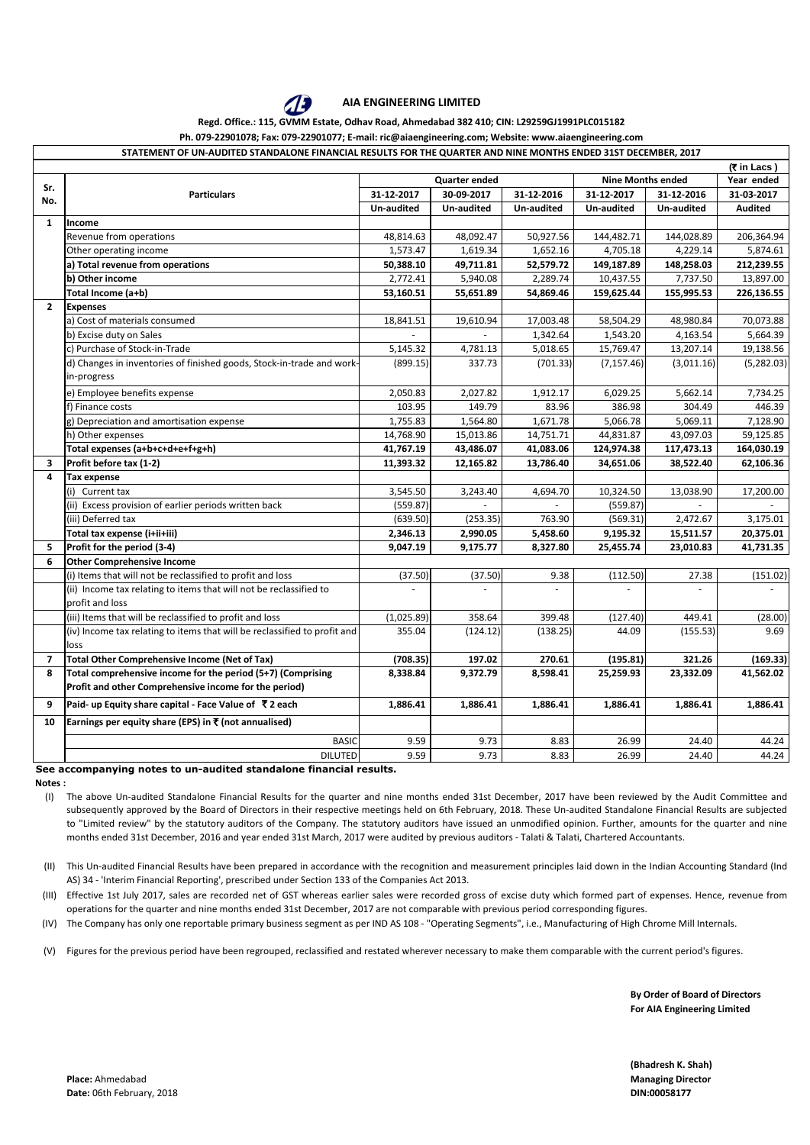|              |                                                                                       |                   |                      |            |                          |                   | (₹ in Lacs)    |
|--------------|---------------------------------------------------------------------------------------|-------------------|----------------------|------------|--------------------------|-------------------|----------------|
| Sr.          |                                                                                       |                   | <b>Quarter ended</b> |            | <b>Nine Months ended</b> |                   | Year ended     |
| No.          | <b>Particulars</b>                                                                    | 31-12-2017        | 30-09-2017           | 31-12-2016 | 31-12-2017               | 31-12-2016        | 31-03-2017     |
|              |                                                                                       | <b>Un-audited</b> | Un-audited           | Un-audited | Un-audited               | <b>Un-audited</b> | <b>Audited</b> |
| $\mathbf{1}$ | <b>Income</b>                                                                         |                   |                      |            |                          |                   |                |
|              | Revenue from operations                                                               | 48,814.63         | 48,092.47            | 50,927.56  | 144,482.71               | 144,028.89        | 206,364.94     |
|              | Other operating income                                                                | 1,573.47          | 1,619.34             | 1,652.16   | 4,705.18                 | 4,229.14          | 5,874.61       |
|              | a) Total revenue from operations                                                      | 50,388.10         | 49,711.81            | 52,579.72  | 149,187.89               | 148,258.03        | 212,239.55     |
|              | b) Other income                                                                       | 2,772.41          | 5,940.08             | 2,289.74   | 10,437.55                | 7,737.50          | 13,897.00      |
|              | Total Income (a+b)                                                                    | 53,160.51         | 55,651.89            | 54,869.46  | 159,625.44               | 155,995.53        | 226,136.55     |
| $\mathbf{2}$ | <b>Expenses</b>                                                                       |                   |                      |            |                          |                   |                |
|              | a) Cost of materials consumed                                                         | 18,841.51         | 19,610.94            | 17,003.48  | 58,504.29                | 48,980.84         | 70,073.88      |
|              | b) Excise duty on Sales                                                               |                   |                      | 1,342.64   | 1,543.20                 | 4,163.54          | 5,664.39       |
|              | c) Purchase of Stock-in-Trade                                                         | 5,145.32          | 4,781.13             | 5,018.65   | 15,769.47                | 13,207.14         | 19,138.56      |
|              | d) Changes in inventories of finished goods, Stock-in-trade and work-<br>in-progress  | (899.15)          | 337.73               | (701.33)   | (7, 157.46)              | (3,011.16)        | (5,282.03)     |
|              | e) Employee benefits expense                                                          | 2,050.83          | 2,027.82             | 1,912.17   | 6,029.25                 | 5,662.14          | 7,734.25       |
|              | f) Finance costs                                                                      | 103.95            | 149.79               | 83.96      | 386.98                   | 304.49            | 446.39         |
|              | g) Depreciation and amortisation expense                                              | 1,755.83          | 1,564.80             | 1,671.78   | 5,066.78                 | 5,069.11          | 7,128.90       |
|              | h) Other expenses                                                                     | 14,768.90         | 15,013.86            | 14,751.71  | 44,831.87                | 43,097.03         | 59,125.85      |
|              | Total expenses (a+b+c+d+e+f+g+h)                                                      | 41,767.19         | 43,486.07            | 41,083.06  | 124,974.38               | 117,473.13        | 164,030.19     |
| 3            | Profit before tax (1-2)                                                               | 11,393.32         | 12,165.82            | 13,786.40  | 34,651.06                | 38,522.40         | 62,106.36      |
| 4            | <b>Tax expense</b>                                                                    |                   |                      |            |                          |                   |                |
|              | Current tax<br>(i)                                                                    | 3,545.50          | 3,243.40             | 4,694.70   | 10,324.50                | 13,038.90         | 17,200.00      |
|              | (ii) Excess provision of earlier periods written back                                 | (559.87)          |                      |            | (559.87)                 |                   |                |
|              | (iii) Deferred tax                                                                    | (639.50)          | (253.35)             | 763.90     | (569.31)                 | 2,472.67          | 3,175.01       |
|              | Total tax expense (i+ii+iii)                                                          | 2,346.13          | 2,990.05             | 5,458.60   | 9,195.32                 | 15,511.57         | 20,375.01      |
| 5            | Profit for the period (3-4)                                                           | 9,047.19          | 9,175.77             | 8,327.80   | 25,455.74                | 23,010.83         | 41,731.35      |
| 6            | <b>Other Comprehensive Income</b>                                                     |                   |                      |            |                          |                   |                |
|              | (i) Items that will not be reclassified to profit and loss                            | (37.50)           | (37.50)              | 9.38       | (112.50)                 | 27.38             | (151.02)       |
|              | (ii) Income tax relating to items that will not be reclassified to<br>profit and loss |                   |                      |            |                          |                   |                |
|              | (iii) Items that will be reclassified to profit and loss                              | (1,025.89)        | 358.64               | 399.48     | (127.40)                 | 449.41            | (28.00)        |
|              | (iv) Income tax relating to items that will be reclassified to profit and             | 355.04            | (124.12)             | (138.25)   | 44.09                    | (155.53)          | 9.69           |
|              | loss                                                                                  |                   |                      |            |                          |                   |                |
| 7            | <b>Total Other Comprehensive Income (Net of Tax)</b>                                  | (708.35)          | 197.02               | 270.61     | (195.81)                 | 321.26            | (169.33)       |
| 8            | Total comprehensive income for the period (5+7) (Comprising                           | 8,338.84          | 9,372.79             | 8,598.41   | 25,259.93                | 23,332.09         | 41,562.02      |
|              | Profit and other Comprehensive income for the period)                                 |                   |                      |            |                          |                   |                |
| 9            | Paid- up Equity share capital - Face Value of ₹2 each                                 | 1,886.41          | 1,886.41             | 1,886.41   | 1,886.41                 | 1,886.41          | 1,886.41       |
| 10           | Earnings per equity share (EPS) in $\bar{\tau}$ (not annualised)                      |                   |                      |            |                          |                   |                |
|              | <b>BASIC</b>                                                                          | 9.59              | 9.73                 | 8.83       | 26.99                    | 24.40             | 44.24          |
|              | <b>DILUTED</b>                                                                        | 9.59              | 9.73                 | 8.83       | 26.99                    | 24.40             | 44.24          |

**See accompanying notes to un-audited standalone financial results.**

## **Notes :**

**By Order of Board of Directors For AIA Engineering Limited**

**Place:** Ahmedabad **Managing Director Managing Director Managing Director Managing Director Date: 06th February, 2018 DIN:00058177 Din:00058177** 

**(Bhadresh K. Shah)**

#### **STATEMENT OF UN-AUDITED STANDALONE FINANCIAL RESULTS FOR THE QUARTER AND NINE MONTHS ENDED 31ST DECEMBER, 2017**



# **AIA ENGINEERING LIMITED**

# **Regd. Office.: 115, GVMM Estate, Odhav Road, Ahmedabad 382 410; CIN: L29259GJ1991PLC015182**

## **Ph. 079-22901078; Fax: 079-22901077; E-mail: ric@aiaengineering.com; Website: www.aiaengineering.com**

- (II) This Un-audited Financial Results have been prepared in accordance with the recognition and measurement principles laid down in the Indian Accounting Standard (Ind AS) 34 - 'Interim Financial Reporting', prescribed under Section 133 of the Companies Act 2013.
- (III) Effective 1st July 2017, sales are recorded net of GST whereas earlier sales were recorded gross of excise duty which formed part of expenses. Hence, revenue from operations for the quarter and nine months ended 31st December, 2017 are not comparable with previous period corresponding figures.
- (IV) The Company has only one reportable primary business segment as per IND AS 108 - "Operating Segments", i.e., Manufacturing of High Chrome Mill Internals.
- (V) Figures for the previous period have been regrouped, reclassified and restated wherever necessary to make them comparable with the current period's figures.

(I) The above Un-audited Standalone Financial Results for the quarter and nine months ended 31st December, 2017 have been reviewed by the Audit Committee and subsequently approved by the Board of Directors in their respective meetings held on 6th February, 2018. These Un-audited Standalone Financial Results are subjected to "Limited review" by the statutory auditors of the Company. The statutory auditors have issued an unmodified opinion. Further, amounts for the quarter and nine months ended 31st December, 2016 and year ended 31st March, 2017 were audited by previous auditors - Talati & Talati, Chartered Accountants.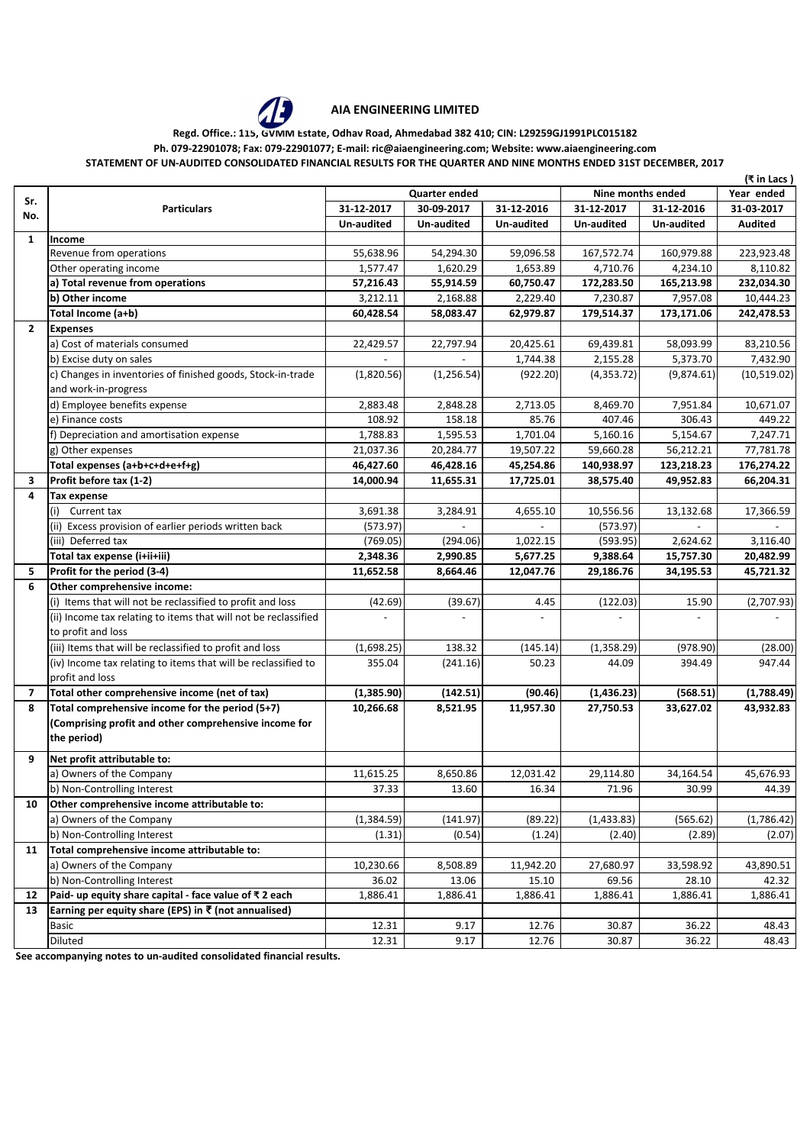

## **AIA ENGINEERING LIMITED**

**Regd. Office.: 115, GVMM Estate, Odhav Road, Ahmedabad 382 410; CIN: L29259GJ1991PLC015182**

**Ph. 079-22901078; Fax: 079-22901077; E-mail: ric@aiaengineering.com; Website: www.aiaengineering.com**

**STATEMENT OF UN-AUDITED CONSOLIDATED FINANCIAL RESULTS FOR THE QUARTER AND NINE MONTHS ENDED 31ST DECEMBER, 2017**

|                |                                                                 |                   |                      |                          |                   |                          | (₹ in Lacs)    |
|----------------|-----------------------------------------------------------------|-------------------|----------------------|--------------------------|-------------------|--------------------------|----------------|
| Sr.<br>No.     | <b>Particulars</b>                                              |                   | <b>Quarter ended</b> |                          | Nine months ended |                          | Year ended     |
|                |                                                                 | 31-12-2017        | 30-09-2017           | 31-12-2016               | 31-12-2017        | 31-12-2016               | 31-03-2017     |
|                |                                                                 | <b>Un-audited</b> | <b>Un-audited</b>    | <b>Un-audited</b>        | <b>Un-audited</b> | <b>Un-audited</b>        | <b>Audited</b> |
| $\mathbf{1}$   | Income                                                          |                   |                      |                          |                   |                          |                |
|                | Revenue from operations                                         | 55,638.96         | 54,294.30            | 59,096.58                | 167,572.74        | 160,979.88               | 223,923.48     |
|                | Other operating income                                          | 1,577.47          | 1,620.29             | 1,653.89                 | 4,710.76          | 4,234.10                 | 8,110.82       |
|                | a) Total revenue from operations                                | 57,216.43         | 55,914.59            | 60,750.47                | 172,283.50        | 165,213.98               | 232,034.30     |
|                | b) Other income                                                 | 3,212.11          | 2,168.88             | 2,229.40                 | 7,230.87          | 7,957.08                 | 10,444.23      |
|                | Total Income (a+b)                                              | 60,428.54         | 58,083.47            | 62,979.87                | 179,514.37        | 173,171.06               | 242,478.53     |
| $\overline{2}$ | <b>Expenses</b>                                                 |                   |                      |                          |                   |                          |                |
|                | a) Cost of materials consumed                                   | 22,429.57         | 22,797.94            | 20,425.61                | 69,439.81         | 58,093.99                | 83,210.56      |
|                | b) Excise duty on sales                                         |                   |                      | 1,744.38                 | 2,155.28          | 5,373.70                 | 7,432.90       |
|                | c) Changes in inventories of finished goods, Stock-in-trade     | (1,820.56)        | (1, 256.54)          | (922.20)                 | (4,353.72)        | (9,874.61)               | (10,519.02)    |
|                | and work-in-progress                                            |                   |                      |                          |                   |                          |                |
|                | d) Employee benefits expense                                    | 2,883.48          | 2,848.28             | 2,713.05                 | 8,469.70          | 7,951.84                 | 10,671.07      |
|                | e) Finance costs                                                | 108.92            | 158.18               | 85.76                    | 407.46            | 306.43                   | 449.22         |
|                | f) Depreciation and amortisation expense                        | 1,788.83          | 1,595.53             | 1,701.04                 | 5,160.16          | 5,154.67                 | 7,247.71       |
|                | g) Other expenses                                               | 21,037.36         | 20,284.77            | 19,507.22                | 59,660.28         | 56,212.21                | 77,781.78      |
|                | Total expenses (a+b+c+d+e+f+g)                                  | 46,427.60         | 46,428.16            | 45,254.86                | 140,938.97        | 123,218.23               | 176,274.22     |
| 3              | Profit before tax (1-2)                                         | 14,000.94         | 11,655.31            | 17,725.01                | 38,575.40         | 49,952.83                | 66,204.31      |
| 4              | <b>Tax expense</b>                                              |                   |                      |                          |                   |                          |                |
|                | Current tax<br>(i)                                              | 3,691.38          | 3,284.91             | 4,655.10                 | 10,556.56         | 13,132.68                | 17,366.59      |
|                | (ii) Excess provision of earlier periods written back           | (573.97)          |                      |                          | (573.97)          |                          |                |
|                | (iii) Deferred tax                                              | (769.05)          | (294.06)             | 1,022.15                 | (593.95)          | 2,624.62                 | 3,116.40       |
|                | Total tax expense (i+ii+iii)                                    | 2,348.36          | 2,990.85             | 5,677.25                 | 9,388.64          | 15,757.30                | 20,482.99      |
| 5              | Profit for the period (3-4)                                     | 11,652.58         | 8,664.46             | 12,047.76                | 29,186.76         | 34,195.53                | 45,721.32      |
| 6              | Other comprehensive income:                                     |                   |                      |                          |                   |                          |                |
|                | (i) Items that will not be reclassified to profit and loss      | (42.69)           | (39.67)              | 4.45                     | (122.03)          | 15.90                    | (2,707.93)     |
|                | (ii) Income tax relating to items that will not be reclassified | $\overline{a}$    |                      | $\overline{\phantom{a}}$ |                   | $\overline{\phantom{a}}$ |                |
|                | to profit and loss                                              |                   |                      |                          |                   |                          |                |
|                | (iii) Items that will be reclassified to profit and loss        | (1,698.25)        | 138.32               | (145.14)                 | (1,358.29)        | (978.90)                 | (28.00)        |
|                | (iv) Income tax relating to items that will be reclassified to  | 355.04            | (241.16)             | 50.23                    | 44.09             | 394.49                   | 947.44         |
|                | profit and loss                                                 |                   |                      |                          |                   |                          |                |
| $\overline{7}$ | Total other comprehensive income (net of tax)                   | (1, 385.90)       | (142.51)             | (90.46)                  | (1,436.23)        | (568.51)                 | (1,788.49)     |
| 8              | Total comprehensive income for the period (5+7)                 | 10,266.68         | 8,521.95             | 11,957.30                | 27,750.53         | 33,627.02                | 43,932.83      |
|                | (Comprising profit and other comprehensive income for           |                   |                      |                          |                   |                          |                |
|                | the period)                                                     |                   |                      |                          |                   |                          |                |
| 9              | Net profit attributable to:                                     |                   |                      |                          |                   |                          |                |
|                | a) Owners of the Company                                        | 11,615.25         | 8,650.86             | 12,031.42                | 29,114.80         | 34,164.54                | 45,676.93      |
|                | b) Non-Controlling Interest                                     | 37.33             | 13.60                | 16.34                    | 71.96             | 30.99                    | 44.39          |
| 10             | Other comprehensive income attributable to:                     |                   |                      |                          |                   |                          |                |
|                | a) Owners of the Company                                        | (1, 384.59)       | (141.97)             | (89.22)                  | (1,433.83)        | (565.62)                 | (1,786.42)     |
|                | b) Non-Controlling Interest                                     | (1.31)            | (0.54)               | (1.24)                   | (2.40)            | (2.89)                   | (2.07)         |
| 11             | Total comprehensive income attributable to:                     |                   |                      |                          |                   |                          |                |
|                | a) Owners of the Company                                        | 10,230.66         | 8,508.89             | 11,942.20                | 27,680.97         | 33,598.92                | 43,890.51      |
|                | b) Non-Controlling Interest                                     | 36.02             | 13.06                | 15.10                    | 69.56             | 28.10                    | 42.32          |
| 12             | Paid- up equity share capital - face value of $\bar{x}$ 2 each  | 1,886.41          | 1,886.41             | 1,886.41                 | 1,886.41          | 1,886.41                 | 1,886.41       |
| 13             | Earning per equity share (EPS) in $\bar{\tau}$ (not annualised) |                   |                      |                          |                   |                          |                |
|                | Basic                                                           | 12.31             | 9.17                 | 12.76                    | 30.87             | 36.22                    | 48.43          |
|                | Diluted                                                         | 12.31             | 9.17                 | 12.76                    | 30.87             | 36.22                    | 48.43          |
|                |                                                                 |                   |                      |                          |                   |                          |                |

**See accompanying notes to un-audited consolidated financial results.**